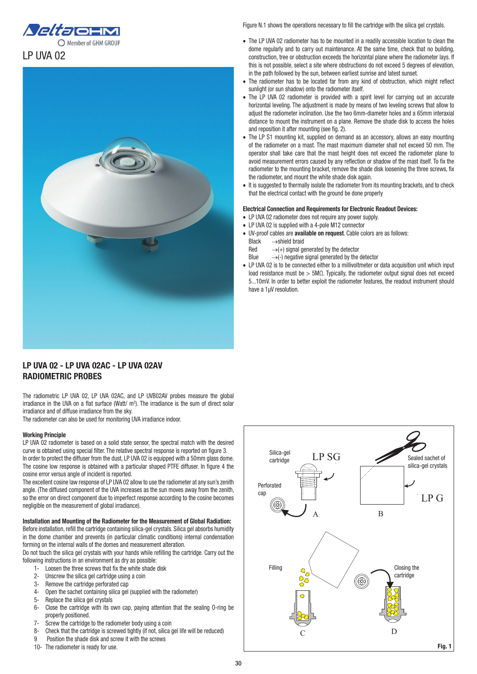



## LP UVA 02 - LP UVA 02AC - LP UVA 02AV RADIOMETRIC PROBES

The radiometric LP UVA 02, LP UVA 02AC, and LP UVB02AV probes measure the global irradiance in the UVA on a flat surface (Watt/  $m^2$ ). The irradiance is the sum of direct solar irradiance and of diffuse irradiance from the sky.

The radiometer can also be used for monitoring UVA irradiance indoor.

## Working Principle

LP UVA 02 radiometer is based on a solid state sensor, the spectral match with the desired curve is obtained using special filter. The relative spectral response is reported on figure 3. In order to protect the diffuser from the dust, LP UVA 02 is equipped with a 50mm glass dome. The cosine low response is obtained with a particular shaped PTFE diffuser. In figure 4 the cosine error versus angle of incident is reported.

The excellent cosine law response of LP UVA 02 allow to use the radiometer at any sun's zenith angle. (The diffused component of the UVA increases as the sun moves away from the zenith, so the error on direct component due to imperfect response according to the cosine becomes negligible on the measurement of global irradiance).

## Installation and Mounting of the Radiometer for the Measurement of Global Radiation:

Before installation, refill the cartridge containing silica-gel crystals. Silica gel absorbs humidity in the dome chamber and prevents (in particular climatic conditions) internal condensation forming on the internal walls of the domes and measurement alteration.

Do not touch the silica gel crystals with your hands while refilling the cartridge. Carry out the following instructions in an environment as dry as possible:

- 1- Loosen the three screws that fix the white shade disk
- 2- Unscrew the silica gel cartridge using a coin
- 3- Remove the cartridge perforated cap
- 4- Open the sachet containing silica gel (supplied with the radiometer)
- 5- Replace the silica gel crystals
- 6- Close the cartridge with its own cap, paying attention that the sealing O-ring be properly positioned.
- 7- Screw the cartridge to the radiometer body using a coin
- 8- Check that the cartridge is screwed tightly (if not, silica gel life will be reduced)
- 9 Position the shade disk and screw it with the screws
- 10- The radiometer is ready for use.

Figure N.1 shows the operations necessary to fill the cartridge with the silica gel crystals.

- The LP UVA 02 radiometer has to be mounted in a readily accessible location to clean the dome regularly and to carry out maintenance. At the same time, check that no building, construction, tree or obstruction exceeds the horizontal plane where the radiometer lays. If this is not possible, select a site where obstructions do not exceed 5 degrees of elevation, in the path followed by the sun, between earliest sunrise and latest sunset.
- The radiometer has to be located far from any kind of obstruction, which might reflect sunlight (or sun shadow) onto the radiometer itself.
- The LP UVA 02 radiometer is provided with a spirit level for carrying out an accurate horizontal leveling. The adjustment is made by means of two leveling screws that allow to adjust the radiometer inclination. Use the two 6mm-diameter holes and a 65mm interaxial distance to mount the instrument on a plane. Remove the shade disk to access the holes and reposition it after mounting (see fig. 2).
- The LP S1 mounting kit, supplied on demand as an accessory, allows an easy mounting of the radiometer on a mast. The mast maximum diameter shall not exceed 50 mm. The operator shall take care that the mast height does not exceed the radiometer plane to avoid measurement errors caused by any reflection or shadow of the mast itself. To fix the radiometer to the mounting bracket, remove the shade disk loosening the three screws, fix the radiometer, and mount the white shade disk again.
- It is suggested to thermally isolate the radiometer from its mounting brackets, and to check that the electrical contact with the ground be done properly

## Electrical Connection and Requirements for Electronic Readout Devices:

- LP UVA 02 radiometer does not require any power supply.
- LP UVA 02 is supplied with a 4-pole M12 connector
- UV-proof cables are available on request. Cable colors are as follows: Black →shield braid
	- Red  $\rightarrow$  (+) signal generated by the detector
	- Blue  $\rightarrow$  (-) negative signal generated by the detector
- LP UVA 02 is to be connected either to a millivoltmeter or data acquisition unit which input load resistance must be > 5MΩ. Typically, the radiometer output signal does not exceed 5...10mV. In order to better exploit the radiometer features, the readout instrument should have a 1μV resolution.

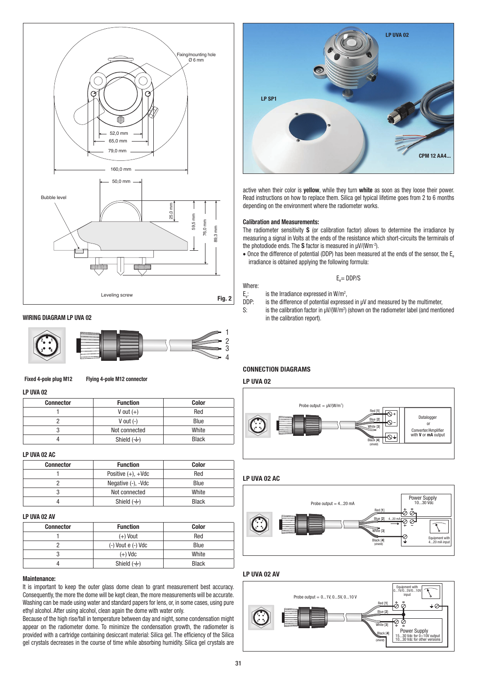

### WIRING DIAGRAM LP UVA 02 **in the calibration report). in the calibration report).**



#### Fixed 4-pole plug M12 Flying 4-pole M12 connector

#### LP UVA 02

| <b>Connector</b> | <b>Function</b>        | Color        |  |  |
|------------------|------------------------|--------------|--|--|
|                  | V out $(+)$            | Red          |  |  |
|                  | V out $(-)$            | Blue         |  |  |
|                  | Not connected          | White        |  |  |
|                  | Shield $(\frac{1}{x})$ | <b>Black</b> |  |  |

## LP UVA 02 AC

| <b>Connector</b> | <b>Function</b>          | <b>Color</b> |       |
|------------------|--------------------------|--------------|-------|
|                  | Positive $(+)$ , $+$ Vdc | Red          | LP U) |
|                  | Negative (-), -Vdc       | <b>Blue</b>  |       |
|                  | Not connected            | White        |       |
|                  | Shield $(\frac{1}{2})$   | <b>Black</b> |       |

#### LP UVA 02 AV

| <b>Connector</b> | <b>Function</b>        | <b>Color</b> |
|------------------|------------------------|--------------|
|                  | $(+)$ Vout             | Red          |
|                  | $(-)$ Vout $e(-)$ Vdc  | <b>Blue</b>  |
|                  | $(+)$ Vdc              | White        |
|                  | Shield $(\frac{1}{2})$ | <b>Black</b> |

#### Maintenance:

It is important to keep the outer glass dome clean to grant measurement best accuracy. Consequently, the more the dome will be kept clean, the more measurements will be accurate. Washing can be made using water and standard papers for lens, or, in some cases, using pure ethyl alcohol. After using alcohol, clean again the dome with water only.

Because of the high rise/fall in temperature between day and night, some condensation might appear on the radiometer dome. To minimize the condensation growth, the radiometer is provided with a cartridge containing desiccant material: Silica gel. The efficiency of the Silica gel crystals decreases in the course of time while absorbing humidity. Silica gel crystals are



active when their color is yellow, while they turn white as soon as they loose their power. Read instructions on how to replace them. Silica gel typical lifetime goes from 2 to 6 months depending on the environment where the radiometer works.

#### Calibration and Measurements:

The radiometer sensitivity S (or calibration factor) allows to determine the irradiance by measuring a signal in Volts at the ends of the resistance which short-circuits the terminals of the photodiode ends. The S factor is measured in  $\mu$ V/(Wm<sup>-2</sup>).

 $\bullet$  Once the difference of potential (DDP) has been measured at the ends of the sensor, the E. irradiance is obtained applying the following formula:

$$
\mathsf{E}_\mathrm{e}\text{= DDP/S}
$$

Where:

- $E_e$ : is the Irradiance expressed in W/m<sup>2</sup>,
- DDP: is the difference of potential expressed in  $\mu$ V and measured by the multimeter, S: is the calibration factor in  $\mu$ V/(W/m<sup>2</sup>) (shown on the radiometer label (and mention S: is the calibration factor in  $\mu$ V/(W/m<sup>2</sup>) (shown on the radiometer label (and mentioned

## **CONNECTION DIAGRAMS**

#### LP UVA 02 LP UVA 02  $\frac{L \cdot U}{2}$



 $\vdash$  Lp UVA 02 AC



# LP UVA 02 AV LP UVA 02 AV LP UVA 02 AV